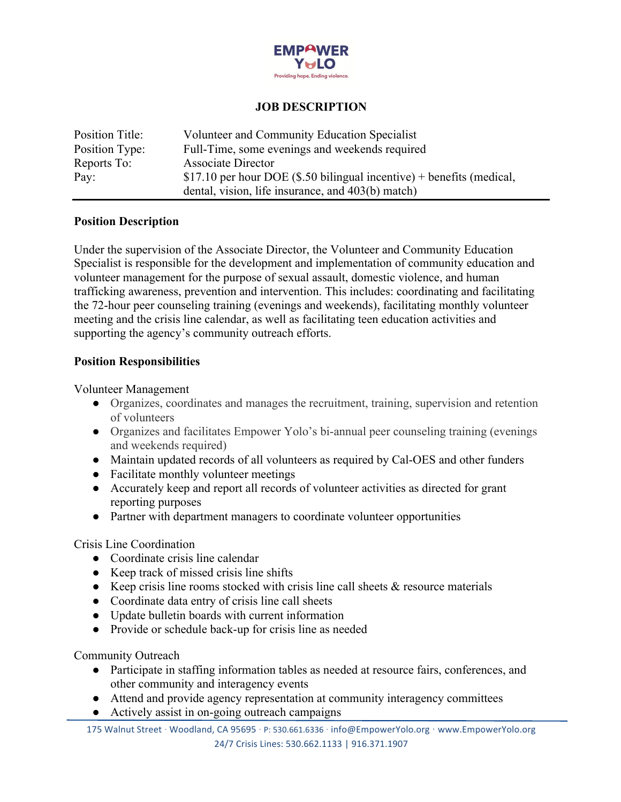

## **JOB DESCRIPTION**

| Position Title: | Volunteer and Community Education Specialist                          |
|-----------------|-----------------------------------------------------------------------|
| Position Type:  | Full-Time, some evenings and weekends required                        |
| Reports To:     | Associate Director                                                    |
| Pay:            | \$17.10 per hour DOE (\$.50 bilingual incentive) + benefits (medical, |
|                 | dental, vision, life insurance, and 403(b) match)                     |

#### **Position Description**

Under the supervision of the Associate Director, the Volunteer and Community Education Specialist is responsible for the development and implementation of community education and volunteer management for the purpose of sexual assault, domestic violence, and human trafficking awareness, prevention and intervention. This includes: coordinating and facilitating the 72-hour peer counseling training (evenings and weekends), facilitating monthly volunteer meeting and the crisis line calendar, as well as facilitating teen education activities and supporting the agency's community outreach efforts.

### **Position Responsibilities**

Volunteer Management

- Organizes, coordinates and manages the recruitment, training, supervision and retention of volunteers
- Organizes and facilitates Empower Yolo's bi-annual peer counseling training (evenings) and weekends required)
- Maintain updated records of all volunteers as required by Cal-OES and other funders
- Facilitate monthly volunteer meetings
- Accurately keep and report all records of volunteer activities as directed for grant reporting purposes
- Partner with department managers to coordinate volunteer opportunities

### Crisis Line Coordination

- Coordinate crisis line calendar
- Keep track of missed crisis line shifts
- Keep crisis line rooms stocked with crisis line call sheets  $\&$  resource materials
- Coordinate data entry of crisis line call sheets
- Update bulletin boards with current information
- Provide or schedule back-up for crisis line as needed

### Community Outreach

- Participate in staffing information tables as needed at resource fairs, conferences, and other community and interagency events
- Attend and provide agency representation at community interagency committees
- Actively assist in on-going outreach campaigns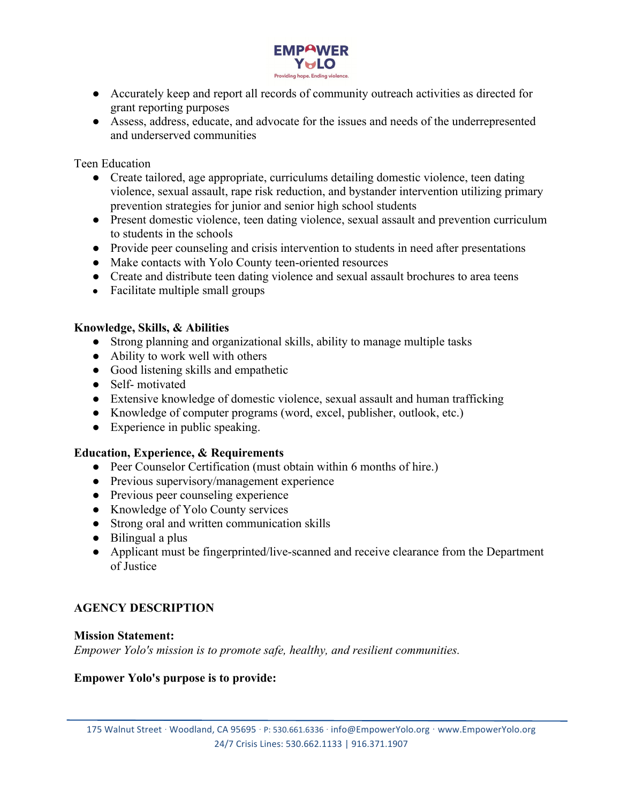

- Accurately keep and report all records of community outreach activities as directed for grant reporting purposes
- Assess, address, educate, and advocate for the issues and needs of the underrepresented and underserved communities

Teen Education

- Create tailored, age appropriate, curriculums detailing domestic violence, teen dating violence, sexual assault, rape risk reduction, and bystander intervention utilizing primary prevention strategies for junior and senior high school students
- Present domestic violence, teen dating violence, sexual assault and prevention curriculum to students in the schools
- Provide peer counseling and crisis intervention to students in need after presentations
- Make contacts with Yolo County teen-oriented resources
- Create and distribute teen dating violence and sexual assault brochures to area teens
- Facilitate multiple small groups

### **Knowledge, Skills, & Abilities**

- Strong planning and organizational skills, ability to manage multiple tasks
- Ability to work well with others
- Good listening skills and empathetic
- Self- motivated
- Extensive knowledge of domestic violence, sexual assault and human trafficking
- Knowledge of computer programs (word, excel, publisher, outlook, etc.)
- Experience in public speaking.

### **Education, Experience, & Requirements**

- Peer Counselor Certification (must obtain within 6 months of hire.)
- Previous supervisory/management experience
- Previous peer counseling experience
- Knowledge of Yolo County services
- Strong oral and written communication skills
- Bilingual a plus
- Applicant must be fingerprinted/live-scanned and receive clearance from the Department of Justice

# **AGENCY DESCRIPTION**

#### **Mission Statement:**

*Empower Yolo's mission is to promote safe, healthy, and resilient communities.*

### **Empower Yolo's purpose is to provide:**